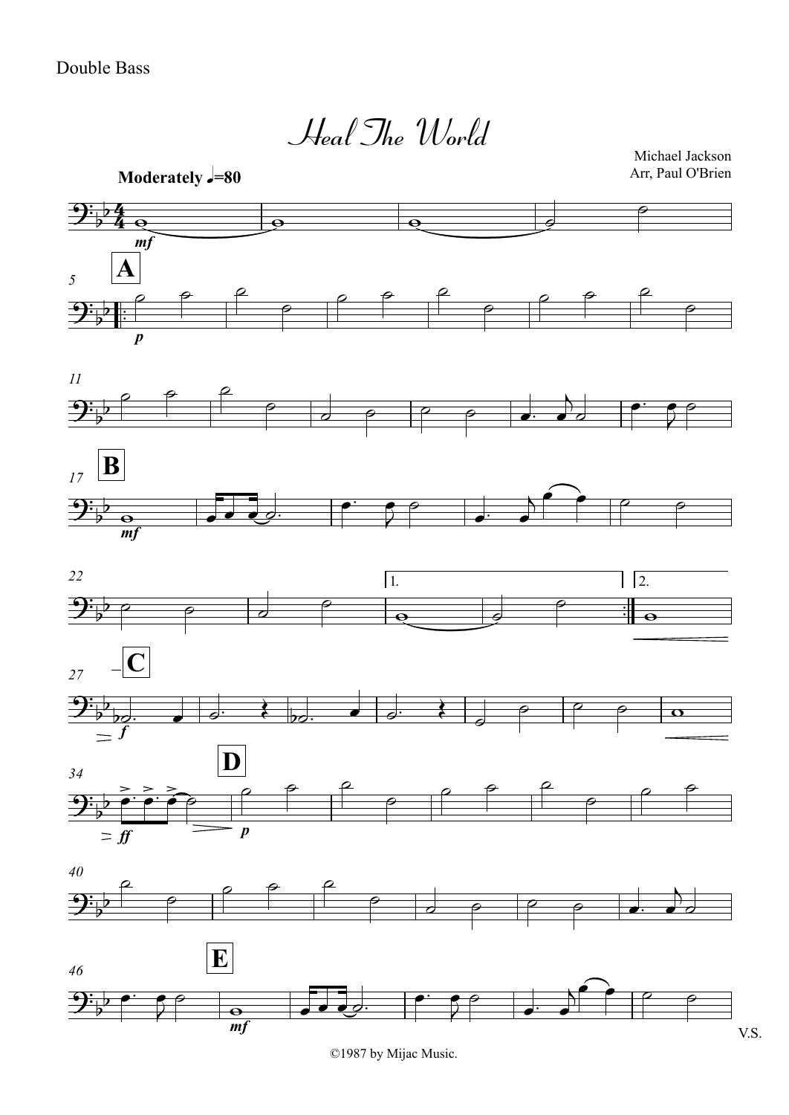*mf* **Moderately**  $\sqrt{=}80$  $\frac{\rho}{\cdot}$ .<br>.<br>. *p*  $\mathbf{A}$ *11 <sup>17</sup>* **B** 4  $\frac{1}{2}$  $\frac{1}{2}$ Heal The World Michael Jackson Arr, Paul O'Brien  $9:$   $\frac{1}{2}$  $\frac{1}{2}$  $\overline{\mathbf{B}}$  $\frac{1}{2}$  $\mathbf{e}$   $\mathbf{e}$   $\mathbf{e}$   $\mathbf{e}$  $\theta$  $\begin{array}{ccccc}\n\circ & \circ & \circ & \circ \\
\circ & \circ & \circ & \circ & \circ\n\end{array}$  $\rho$  $\rho$   $\rho$   $\rho$  $\rho$   $\qquad$  $\rho$   $\rho$   $\rho$  $\rho$  $\rho$   $\rho$   $\rho$  $\circ$  $\sigma$   $\rho$   $\rho$   $\sigma$   $\sigma$  $\overline{\phantom{0}}$  $\overrightarrow{a}$  $\bullet$   $\bullet$   $\circ$  $\frac{1}{2}$  $\overline{\phantom{0}}$